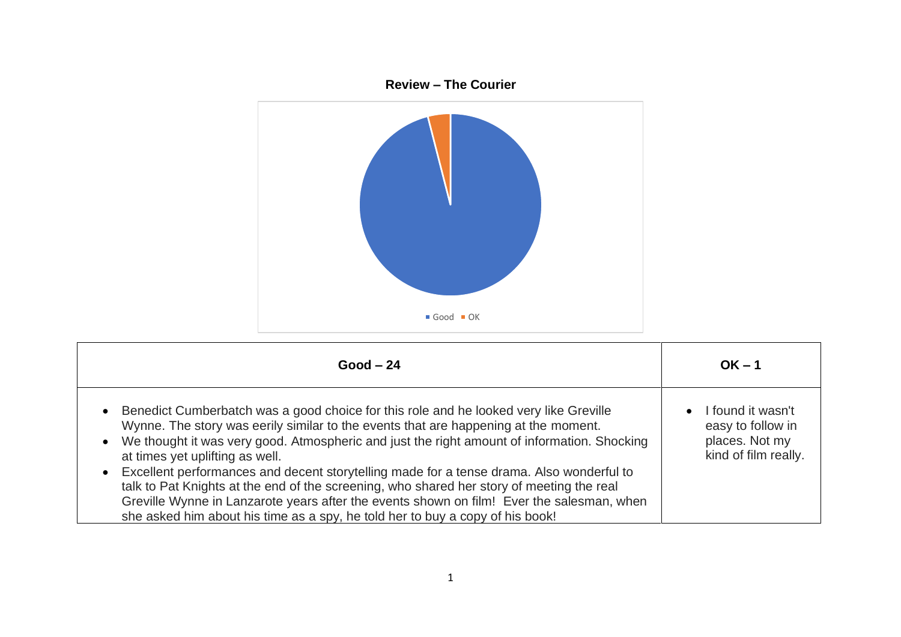

| $Good - 24$                                                                                                                                                                                                                                                                                                                                                                                                                                                                                                                                                                                                                                                                           | $OK - 1$                                                                                      |
|---------------------------------------------------------------------------------------------------------------------------------------------------------------------------------------------------------------------------------------------------------------------------------------------------------------------------------------------------------------------------------------------------------------------------------------------------------------------------------------------------------------------------------------------------------------------------------------------------------------------------------------------------------------------------------------|-----------------------------------------------------------------------------------------------|
| Benedict Cumberbatch was a good choice for this role and he looked very like Greville<br>Wynne. The story was eerily similar to the events that are happening at the moment.<br>We thought it was very good. Atmospheric and just the right amount of information. Shocking<br>at times yet uplifting as well.<br>Excellent performances and decent storytelling made for a tense drama. Also wonderful to<br>talk to Pat Knights at the end of the screening, who shared her story of meeting the real<br>Greville Wynne in Lanzarote years after the events shown on film! Ever the salesman, when<br>she asked him about his time as a spy, he told her to buy a copy of his book! | I found it wasn't<br>$\bullet$<br>easy to follow in<br>places. Not my<br>kind of film really. |